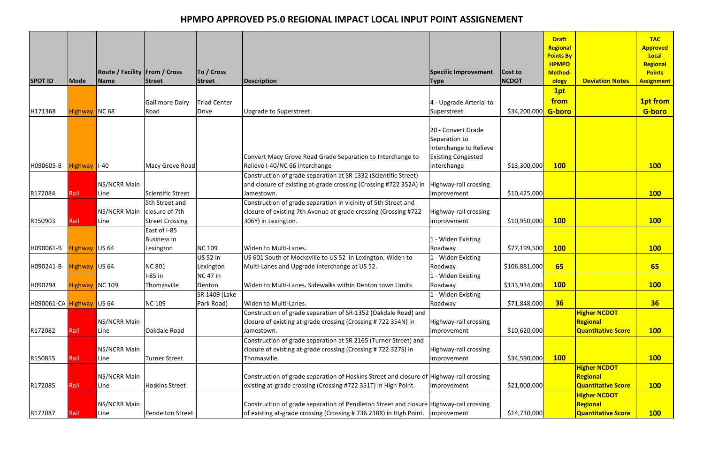| <b>SPOT ID</b>           | Mode                 | <b>Route / Facility From / Cross</b><br>Name | Street                   | To / Cross<br>Street | Description                                                                             | Specific Improvement<br><b>Type</b> | Cost to<br><b>NCDOT</b> | <b>Draft</b><br>Regional<br><b>Points By</b><br><b>HPMPO</b><br><b>Method-</b><br>ology | <b>Deviation Notes</b>    | <b>TAC</b><br><b>Approved</b><br>Local<br><b>Regional</b><br><b>Points</b><br><b>Assignment</b> |
|--------------------------|----------------------|----------------------------------------------|--------------------------|----------------------|-----------------------------------------------------------------------------------------|-------------------------------------|-------------------------|-----------------------------------------------------------------------------------------|---------------------------|-------------------------------------------------------------------------------------------------|
|                          |                      |                                              |                          |                      |                                                                                         |                                     |                         | 1pt                                                                                     |                           |                                                                                                 |
|                          |                      |                                              | <b>Gallimore Dairy</b>   | Triad Center         |                                                                                         | 4 - Upgrade Arterial to             |                         | from                                                                                    |                           | <b>1pt from</b>                                                                                 |
| H171368                  | Highway              | NC68                                         | Road                     | Drive                | Upgrade to Superstreet.                                                                 | Superstreet                         | \$34,200,000            | <b>G-boro</b>                                                                           |                           | <b>G-boro</b>                                                                                   |
|                          |                      |                                              |                          |                      |                                                                                         |                                     |                         |                                                                                         |                           |                                                                                                 |
|                          |                      |                                              |                          |                      |                                                                                         | 20 - Convert Grade                  |                         |                                                                                         |                           |                                                                                                 |
|                          |                      |                                              |                          |                      |                                                                                         | Separation to                       |                         |                                                                                         |                           |                                                                                                 |
|                          |                      |                                              |                          |                      |                                                                                         | Interchange to Relieve              |                         |                                                                                         |                           |                                                                                                 |
|                          |                      |                                              |                          |                      | Convert Macy Grove Road Grade Separation to Interchange to                              | <b>Existing Congested</b>           |                         |                                                                                         |                           |                                                                                                 |
| H090605-B                | Highway   I-40       |                                              | Macy Grove Road          |                      | Relieve I-40/NC 66 interchange                                                          | Interchange                         | \$13,300,000            | <b>100</b>                                                                              |                           | <b>100</b>                                                                                      |
|                          |                      |                                              |                          |                      | Construction of grade separation at SR 1332 (Scientific Street)                         |                                     |                         |                                                                                         |                           |                                                                                                 |
|                          |                      | NS/NCRR Main                                 |                          |                      | and closure of existing at-grade crossing (Crossing #722 352A) in                       | Highway-rail crossing               |                         |                                                                                         |                           |                                                                                                 |
| R172084                  | Rail                 | Line                                         | <b>Scientific Street</b> |                      | Jamestown.                                                                              | <i>improvement</i>                  | \$10,425,000            |                                                                                         |                           | <b>100</b>                                                                                      |
|                          |                      |                                              | 5th Street and           |                      | Construction of grade separation in vicinity of 5th Street and                          |                                     |                         |                                                                                         |                           |                                                                                                 |
|                          |                      | NS/NCRR Main                                 | closure of 7th           |                      | closure of existing 7th Avenue at-grade crossing (Crossing #722                         | Highway-rail crossing               |                         |                                                                                         |                           |                                                                                                 |
| R150903                  | Rail                 | Line                                         | <b>Street Crossing</b>   |                      | 306Y) in Lexington.                                                                     | improvement                         | \$10,950,000            | <b>100</b>                                                                              |                           | <b>100</b>                                                                                      |
|                          |                      |                                              | East of I-85             |                      |                                                                                         |                                     |                         |                                                                                         |                           |                                                                                                 |
|                          |                      |                                              | <b>Business in</b>       |                      |                                                                                         | - Widen Existing                    |                         |                                                                                         |                           |                                                                                                 |
| H090061-B                | <b>Highway</b> US 64 |                                              | Lexington                | <b>NC 109</b>        | Widen to Multi-Lanes.                                                                   | Roadway                             | \$77,199,500            | <b>100</b>                                                                              |                           | <b>100</b>                                                                                      |
|                          |                      |                                              |                          | US 52 in             | US 601 South of Mocksville to US 52 in Lexington. Widen to                              | 1 - Widen Existing                  |                         |                                                                                         |                           |                                                                                                 |
| H090241-B                | Highway US 64        |                                              | <b>NC 801</b>            | Lexington            | Multi-Lanes and Upgrade interchange at US 52.                                           | Roadway                             | \$106,881,000           | 65                                                                                      |                           | 65                                                                                              |
|                          |                      |                                              | l-85 in                  | <b>NC 47 in</b>      |                                                                                         | 1 - Widen Existing                  |                         |                                                                                         |                           |                                                                                                 |
| H090294                  | Highway NC 109       |                                              | Thomasville              | Denton               | Widen to Multi-Lanes. Sidewalks within Denton town Limits.                              | Roadway                             | \$133,934,000           | <b>100</b>                                                                              |                           | <b>100</b>                                                                                      |
|                          |                      |                                              |                          | SR 1409 (Lake        |                                                                                         | - Widen Existing                    |                         |                                                                                         |                           |                                                                                                 |
| H090061-CA Highway US 64 |                      |                                              | <b>NC 109</b>            | Park Road)           | Widen to Multi-Lanes.                                                                   | Roadway                             | \$71,848,000            | 36                                                                                      |                           | 36                                                                                              |
|                          |                      |                                              |                          |                      | Construction of grade separation of SR-1352 (Oakdale Road) and                          |                                     |                         |                                                                                         | <b>Higher NCDOT</b>       |                                                                                                 |
|                          |                      | NS/NCRR Main                                 |                          |                      | closure of existing at-grade crossing (Crossing #722 354N) in                           | Highway-rail crossing               |                         |                                                                                         | Regional                  |                                                                                                 |
| R172082                  | Rail                 | Line                                         | Oakdale Road             |                      | Jamestown.                                                                              | <i>improvement</i>                  | \$10,620,000            |                                                                                         | <b>Quantitative Score</b> | <b>100</b>                                                                                      |
|                          |                      |                                              |                          |                      | Construction of grade separation at SR 2165 (Turner Street) and                         |                                     |                         |                                                                                         |                           |                                                                                                 |
|                          |                      | NS/NCRR Main                                 |                          |                      | closure of existing at-grade crossing (Crossing #722 327S) in                           | Highway-rail crossing               |                         |                                                                                         |                           |                                                                                                 |
| R150855                  | Rail                 | Line                                         | <b>Turner Street</b>     |                      | Thomasville.                                                                            | <i>improvement</i>                  | \$34,590,000            | <b>100</b>                                                                              |                           | <b>100</b>                                                                                      |
|                          |                      |                                              |                          |                      |                                                                                         |                                     |                         |                                                                                         | <b>Higher NCDOT</b>       |                                                                                                 |
|                          |                      | NS/NCRR Main                                 |                          |                      | Construction of grade separation of Hoskins Street and closure of Highway-rail crossing |                                     |                         |                                                                                         | Regional                  |                                                                                                 |
| R172085                  | Rail                 | Line                                         | Hoskins Street           |                      | existing at-grade crossing (Crossing #722 351T) in High Point.                          | <i>improvement</i>                  | \$21,000,000            |                                                                                         | <b>Quantitative Score</b> | <b>100</b>                                                                                      |
|                          |                      |                                              |                          |                      |                                                                                         |                                     |                         |                                                                                         | <b>Higher NCDOT</b>       |                                                                                                 |
|                          |                      | <b>NS/NCRR Main</b>                          |                          |                      | Construction of grade separation of Pendleton Street and closure Highway-rail crossing  |                                     |                         |                                                                                         | Regional                  |                                                                                                 |
| R172087                  | Rail                 | Line                                         | Pendelton Street         |                      | of existing at-grade crossing (Crossing # 736 238R) in High Point. Improvement          |                                     | \$14,730,000            |                                                                                         | <b>Quantitative Score</b> | 100 <sub>1</sub>                                                                                |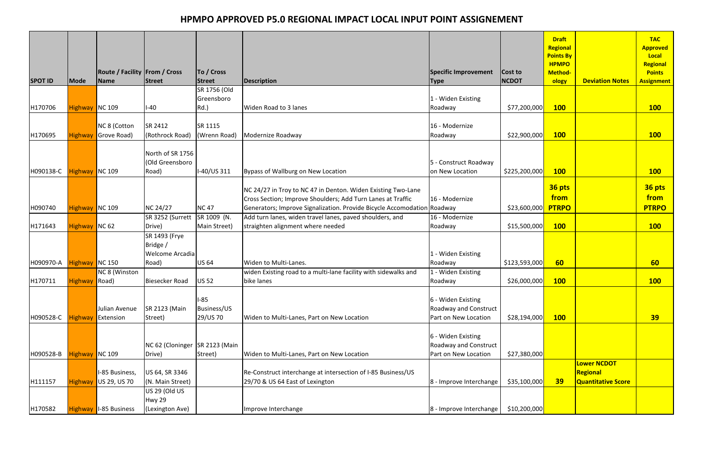| <b>SPOT ID</b> | <b>Mode</b>    | <b>Route / Facility From / Cross</b><br>Name | Street                                       | To / Cross<br>Street                     | <b>Description</b>                                                                            | Specific Improvement<br><b>Type</b>                                        | Cost to<br><b>NCDOT</b>     | <b>Draft</b><br>Regional<br><b>Points By</b><br><b>HPMPO</b><br><b>Method-</b><br>ology | <b>Deviation Notes</b>    | <b>TAC</b><br><b>Approved</b><br>Local<br>Regional<br><b>Points</b><br><b>Assignment</b> |
|----------------|----------------|----------------------------------------------|----------------------------------------------|------------------------------------------|-----------------------------------------------------------------------------------------------|----------------------------------------------------------------------------|-----------------------------|-----------------------------------------------------------------------------------------|---------------------------|------------------------------------------------------------------------------------------|
|                |                |                                              |                                              | SR 1756 (Old                             |                                                                                               |                                                                            |                             |                                                                                         |                           |                                                                                          |
|                |                |                                              |                                              | Greensboro                               |                                                                                               | 1 - Widen Existing                                                         |                             |                                                                                         |                           |                                                                                          |
| H170706        | Highway NC 109 |                                              | $I-40$                                       | Rd.                                      | Widen Road to 3 lanes                                                                         | Roadway                                                                    | \$77,200,000                | <b>100</b>                                                                              |                           | <b>100</b>                                                                               |
| H170695        | Highway        | NC 8 (Cotton<br>Grove Road)                  | SR 2412<br>(Rothrock Road)                   | SR 1115<br>(Wrenn Road)                  | Modernize Roadway                                                                             | 16 - Modernize<br>Roadway                                                  | \$22,900,000                | <b>100</b>                                                                              |                           | <b>100</b>                                                                               |
|                |                |                                              |                                              |                                          |                                                                                               |                                                                            |                             |                                                                                         |                           |                                                                                          |
| H090138-C      | Highway NC 109 |                                              | North of SR 1756<br>(Old Greensboro<br>Road) | I-40/US 311                              | Bypass of Wallburg on New Location                                                            | 5 - Construct Roadway<br>on New Location                                   | \$225,200,000               | <b>100</b>                                                                              |                           | <b>100</b>                                                                               |
|                |                |                                              |                                              |                                          |                                                                                               |                                                                            |                             |                                                                                         |                           |                                                                                          |
|                |                |                                              |                                              |                                          | NC 24/27 in Troy to NC 47 in Denton. Widen Existing Two-Lane                                  |                                                                            |                             | 36 pts<br>from                                                                          |                           | 36 pts<br>from                                                                           |
|                |                |                                              |                                              |                                          | Cross Section; Improve Shoulders; Add Turn Lanes at Traffic                                   | 16 - Modernize                                                             |                             |                                                                                         |                           |                                                                                          |
| H090740        | Highway NC 109 |                                              | <b>NC 24/27</b>                              | <b>NC47</b><br>SR 1009 (N.               | Generators; Improve Signalization. Provide Bicycle Accomodation Roadway                       | 16 - Modernize                                                             | \$23,600,000                | <b>PTRPO</b>                                                                            |                           | <b>PTRPO</b>                                                                             |
| H171643        | Highway NC 62  |                                              | SR 3252 (Surrett<br>Drive)                   | Main Street)                             | Add turn lanes, widen travel lanes, paved shoulders, and<br>straighten alignment where needed | Roadway                                                                    | \$15,500,000                | <b>100</b>                                                                              |                           | <b>100</b>                                                                               |
|                |                |                                              | SR 1493 (Frye                                |                                          |                                                                                               |                                                                            |                             |                                                                                         |                           |                                                                                          |
|                |                |                                              | Bridge /                                     |                                          |                                                                                               |                                                                            |                             |                                                                                         |                           |                                                                                          |
|                |                |                                              | Welcome Arcadia                              |                                          |                                                                                               | 1 - Widen Existing                                                         |                             |                                                                                         |                           |                                                                                          |
| H090970-A      | Highway NC 150 |                                              | Road)                                        | <b>US 64</b>                             | Widen to Multi-Lanes.                                                                         | Roadway                                                                    | \$123,593,000               | 60                                                                                      |                           | 60                                                                                       |
|                |                | NC 8 (Winston                                |                                              |                                          | widen Existing road to a multi-lane facility with sidewalks and                               | 1 - Widen Existing                                                         |                             |                                                                                         |                           |                                                                                          |
| H170711        | Highway Road)  |                                              | Biesecker Road                               | <b>US 52</b>                             | bike lanes                                                                                    | Roadway                                                                    | \$26,000,000 <mark> </mark> | <b>100</b>                                                                              |                           | <b>100</b>                                                                               |
| H090528-C      | <b>Highway</b> | Julian Avenue<br>Extension                   | <b>SR 2123 (Main</b><br>Street)              | $I-85$<br><b>Business/US</b><br>29/US 70 | Widen to Multi-Lanes, Part on New Location                                                    | 6 - Widen Existing<br><b>Roadway and Construct</b><br>Part on New Location | \$28,194,000                | <b>100</b>                                                                              |                           | 39                                                                                       |
| H090528-B      | Highway NC 109 |                                              | NC 62 (Cloninger SR 2123 (Main<br>Drive)     | Street)                                  | Widen to Multi-Lanes, Part on New Location                                                    | 6 - Widen Existing<br><b>Roadway and Construct</b><br>Part on New Location | \$27,380,000                |                                                                                         |                           |                                                                                          |
|                |                |                                              |                                              |                                          |                                                                                               |                                                                            |                             |                                                                                         | <b>Lower NCDOT</b>        |                                                                                          |
|                |                | I-85 Business,                               | US 64, SR 3346                               |                                          | Re-Construct interchange at intersection of I-85 Business/US                                  |                                                                            |                             |                                                                                         | Regional                  |                                                                                          |
| H111157        | <b>Highway</b> | US 29, US 70                                 | (N. Main Street)                             |                                          | 29/70 & US 64 East of Lexington                                                               | 8 - Improve Interchange                                                    | \$35,100,000                | <b>39</b>                                                                               | <b>Quantitative Score</b> |                                                                                          |
|                |                |                                              | US 29 (Old US                                |                                          |                                                                                               |                                                                            |                             |                                                                                         |                           |                                                                                          |
|                |                |                                              | Hwy 29                                       |                                          |                                                                                               |                                                                            |                             |                                                                                         |                           |                                                                                          |
| H170582        |                | Highway   I-85 Business                      | (Lexington Ave)                              |                                          | Improve Interchange                                                                           | 8 - Improve Interchange                                                    | \$10,200,000                |                                                                                         |                           |                                                                                          |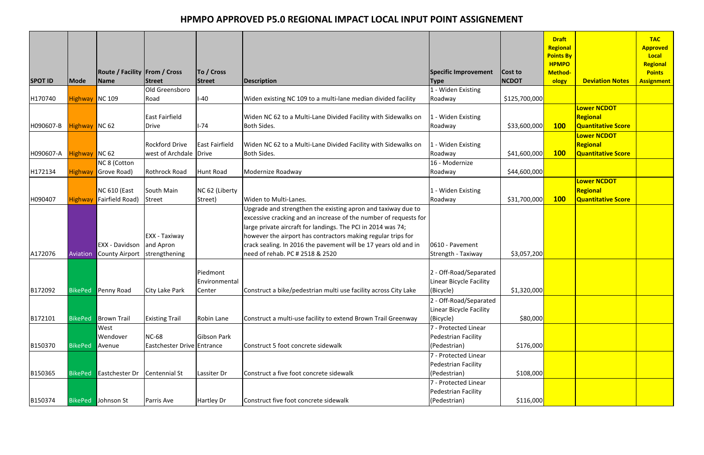| <b>SPOT ID</b> | Mode           | <b>Route / Facility From / Cross</b><br>Name | Street                                      | To / Cross<br>Street                | Description                                                                                                                                                                                                                                                                                                                                                            | Specific Improvement<br><b>Type</b>                            | Cost to<br><b>NCDOT</b> | <b>Draft</b><br>Regional<br><b>Points By</b><br><b>HPMPO</b><br><b>Method-</b><br>ology | <b>Deviation Notes</b>                                      | <b>TAC</b><br><b>Approved</b><br>Local<br>Regional<br><b>Points</b><br><b>Assignment</b> |
|----------------|----------------|----------------------------------------------|---------------------------------------------|-------------------------------------|------------------------------------------------------------------------------------------------------------------------------------------------------------------------------------------------------------------------------------------------------------------------------------------------------------------------------------------------------------------------|----------------------------------------------------------------|-------------------------|-----------------------------------------------------------------------------------------|-------------------------------------------------------------|------------------------------------------------------------------------------------------|
|                |                |                                              | Old Greensboro                              |                                     |                                                                                                                                                                                                                                                                                                                                                                        | 1 - Widen Existing                                             |                         |                                                                                         |                                                             |                                                                                          |
| H170740        | Highway NC 109 |                                              | Road                                        | $I-40$                              | Widen existing NC 109 to a multi-lane median divided facility                                                                                                                                                                                                                                                                                                          | Roadway                                                        | \$125,700,000           |                                                                                         |                                                             |                                                                                          |
| H090607-B      | Highway NC 62  |                                              | East Fairfield<br><b>Drive</b>              | $I-74$                              | Widen NC 62 to a Multi-Lane Divided Facility with Sidewalks on<br><b>Both Sides.</b>                                                                                                                                                                                                                                                                                   | 1 - Widen Existing<br>Roadway                                  | \$33,600,000            | <b>100</b>                                                                              | <b>Lower NCDOT</b><br>Regional<br><b>Quantitative Score</b> |                                                                                          |
|                |                |                                              |                                             |                                     |                                                                                                                                                                                                                                                                                                                                                                        |                                                                |                         |                                                                                         | <b>Lower NCDOT</b>                                          |                                                                                          |
|                |                |                                              | <b>Rockford Drive</b>                       | East Fairfield                      | Widen NC 62 to a Multi-Lane Divided Facility with Sidewalks on                                                                                                                                                                                                                                                                                                         | L - Widen Existing                                             |                         |                                                                                         | Regional                                                    |                                                                                          |
| H090607-A      | Highway NC 62  |                                              | west of Archdale Drive                      |                                     | <b>Both Sides.</b>                                                                                                                                                                                                                                                                                                                                                     | Roadway                                                        | \$41,600,000            | <b>100</b>                                                                              | <b>Quantitative Score</b>                                   |                                                                                          |
|                |                | NC 8 (Cotton                                 |                                             |                                     |                                                                                                                                                                                                                                                                                                                                                                        | 16 - Modernize                                                 |                         |                                                                                         |                                                             |                                                                                          |
| H172134        | Highway        | Grove Road)                                  | Rothrock Road                               | Hunt Road                           | Modernize Roadway                                                                                                                                                                                                                                                                                                                                                      | Roadway                                                        | \$44,600,000            |                                                                                         |                                                             |                                                                                          |
| H090407        | Highway        | <b>NC 610 (East</b><br>Fairfield Road)       | South Main<br>Street                        | NC 62 (Liberty<br>Street)           | Widen to Multi-Lanes.                                                                                                                                                                                                                                                                                                                                                  | 1 - Widen Existing<br>Roadway                                  | \$31,700,000            | <b>100</b>                                                                              | <b>Lower NCDOT</b><br>Regional<br><b>Quantitative Score</b> |                                                                                          |
| A172076        | Aviation       | EXX - Davidson<br>County Airport             | EXX - Taxiway<br>and Apron<br>strengthening |                                     | Upgrade and strengthen the existing apron and taxiway due to<br>excessive cracking and an increase of the number of requests for<br>large private aircraft for landings. The PCI in 2014 was 74;<br>however the airport has contractors making regular trips for<br>crack sealing. In 2016 the pavement will be 17 years old and in<br>need of rehab. PC # 2518 & 2520 | 0610 - Pavement<br>Strength - Taxiway                          | \$3,057,200             |                                                                                         |                                                             |                                                                                          |
| B172092        | <b>BikePed</b> | <b>Penny Road</b>                            | City Lake Park                              | Piedmont<br>Environmental<br>Center | Construct a bike/pedestrian multi use facility across City Lake                                                                                                                                                                                                                                                                                                        | 2 - Off-Road/Separated<br>Linear Bicycle Facility<br>(Bicycle) | \$1,320,000             |                                                                                         |                                                             |                                                                                          |
| B172101        | <b>BikePed</b> | <b>Brown Trail</b>                           | <b>Existing Trail</b>                       | Robin Lane                          | Construct a multi-use facility to extend Brown Trail Greenway                                                                                                                                                                                                                                                                                                          | 2 - Off-Road/Separated<br>Linear Bicycle Facility<br>(Bicycle) | \$80,000                |                                                                                         |                                                             |                                                                                          |
| B150370        | <b>BikePed</b> | West<br>Wendover<br>Avenue                   | <b>NC-68</b><br>Eastchester Drive Entrance  | Gibson Park                         | Construct 5 foot concrete sidewalk                                                                                                                                                                                                                                                                                                                                     | 7 - Protected Linear<br>Pedestrian Facility<br>(Pedestrian)    | \$176,000               |                                                                                         |                                                             |                                                                                          |
| B150365        | <b>BikePed</b> | <b>Eastchester Dr</b>                        | Centennial St                               | Lassiter Dr                         | Construct a five foot concrete sidewalk                                                                                                                                                                                                                                                                                                                                | 7 - Protected Linear<br>Pedestrian Facility<br>(Pedestrian)    | \$108,000               |                                                                                         |                                                             |                                                                                          |
| B150374        |                | <b>BikePed</b> Johnson St                    | Parris Ave                                  | <b>Hartley Dr</b>                   | Construct five foot concrete sidewalk                                                                                                                                                                                                                                                                                                                                  | 7 - Protected Linear<br>Pedestrian Facility<br>(Pedestrian)    | \$116,000               |                                                                                         |                                                             |                                                                                          |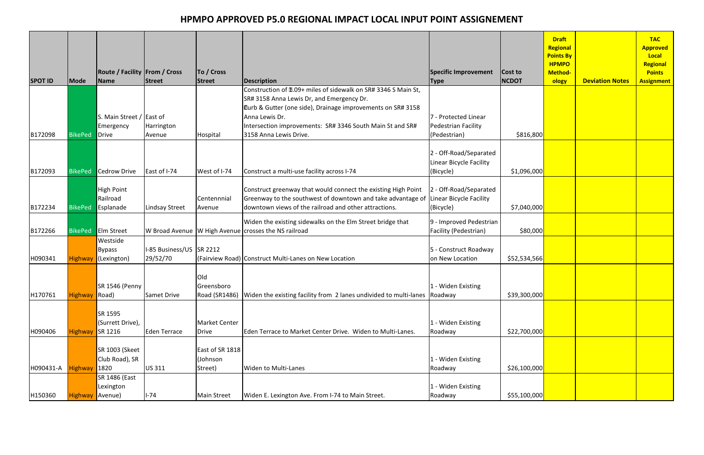| <b>SPOT ID</b> | Mode            | <b>Route / Facility From / Cross</b><br>Name             | <b>Street</b>                        | To / Cross<br>Street                   | <b>Description</b>                                                                                                                                                                                                           | Specific Improvement<br><b>Type</b>                                | Cost to<br><b>NCDOT</b> | <b>Draft</b><br>Regional<br><b>Points By</b><br><b>HPMPO</b><br><b>Method-</b><br>ology | <b>Deviation Notes</b> | <b>TAC</b><br><b>Approved</b><br>Local<br><b>Regional</b><br><b>Points</b><br><b>Assignment</b> |
|----------------|-----------------|----------------------------------------------------------|--------------------------------------|----------------------------------------|------------------------------------------------------------------------------------------------------------------------------------------------------------------------------------------------------------------------------|--------------------------------------------------------------------|-------------------------|-----------------------------------------------------------------------------------------|------------------------|-------------------------------------------------------------------------------------------------|
|                |                 |                                                          |                                      |                                        | Construction of 11.09+ miles of sidewalk on SR# 3346 S Main St,                                                                                                                                                              |                                                                    |                         |                                                                                         |                        |                                                                                                 |
| B172098        | <b>BikePed</b>  | S. Main Street / East of<br>Emergency<br>Drive           | Harrington<br>Avenue                 | Hospital                               | SR# 3158 Anna Lewis Dr, and Emergency Dr.<br><b>Lurb &amp; Gutter (one side), Drainage improvements on SR# 3158</b><br>Anna Lewis Dr.<br>Intersection improvements: SR# 3346 South Main St and SR#<br>3158 Anna Lewis Drive. | 7 - Protected Linear<br><b>Pedestrian Facility</b><br>(Pedestrian) | \$816,800               |                                                                                         |                        |                                                                                                 |
| B172093        | <b>BikePed</b>  | Cedrow Drive                                             | East of I-74                         | West of I-74                           | Construct a multi-use facility across I-74                                                                                                                                                                                   | 2 - Off-Road/Separated<br>Linear Bicycle Facility<br>(Bicycle)     | \$1,096,000             |                                                                                         |                        |                                                                                                 |
| B172234        | <b>BikePed</b>  | <b>High Point</b><br>Railroad<br>Esplanade               | Lindsay Street                       | Centennnial<br>Avenue                  | Construct greenway that would connect the existing High Point<br>Greenway to the southwest of downtown and take advantage of Linear Bicycle Facility<br>downtown views of the railroad and other attractions.                | 2 - Off-Road/Separated<br>(Bicycle)                                | \$7,040,000             |                                                                                         |                        |                                                                                                 |
| B172266        |                 | BikePed Elm Street                                       |                                      |                                        | Widen the existing sidewalks on the Elm Street bridge that<br>W Broad Avenue W High Avenue crosses the NS railroad                                                                                                           | 9 - Improved Pedestrian<br>Facility (Pedestrian)                   | \$80,000                |                                                                                         |                        |                                                                                                 |
| H090341        | Highway         | Westside<br><b>Bypass</b><br>(Lexington)                 | I-85 Business/US SR 2212<br>29/52/70 |                                        | (Fairview Road) Construct Multi-Lanes on New Location                                                                                                                                                                        | 5 - Construct Roadway<br>on New Location                           | \$52,534,566            |                                                                                         |                        |                                                                                                 |
| H170761        | Highway Road)   | SR 1546 (Penny                                           | <b>Samet Drive</b>                   | Old<br><b>Greensboro</b>               | Road (SR1486) Widen the existing facility from 2 lanes undivided to multi-lanes Roadway                                                                                                                                      | 1 - Widen Existing                                                 | \$39,300,000            |                                                                                         |                        |                                                                                                 |
| H090406        | <b>Highway</b>  | SR 1595<br>(Surrett Drive),<br>$\sqrt{\textsf{SR 1216}}$ | Eden Terrace                         | <b>Market Center</b><br><b>Drive</b>   | Eden Terrace to Market Center Drive. Widen to Multi-Lanes.                                                                                                                                                                   | - Widen Existing<br>Roadway                                        | \$22,700,000            |                                                                                         |                        |                                                                                                 |
| H090431-A      | <b>Highway</b>  | SR 1003 (Skeet<br>Club Road), SR<br>1820                 | <b>US311</b>                         | East of SR 1818<br>(Johnson<br>Street) | <b>Widen to Multi-Lanes</b>                                                                                                                                                                                                  | - Widen Existing<br>Roadway                                        | \$26,100,000            |                                                                                         |                        |                                                                                                 |
| H150360        | Highway Avenue) | SR 1486 (East<br>Lexington                               | $I-74$                               | <b>Main Street</b>                     | Widen E. Lexington Ave. From I-74 to Main Street.                                                                                                                                                                            | L - Widen Existing<br>Roadway                                      | \$55,100,000            |                                                                                         |                        |                                                                                                 |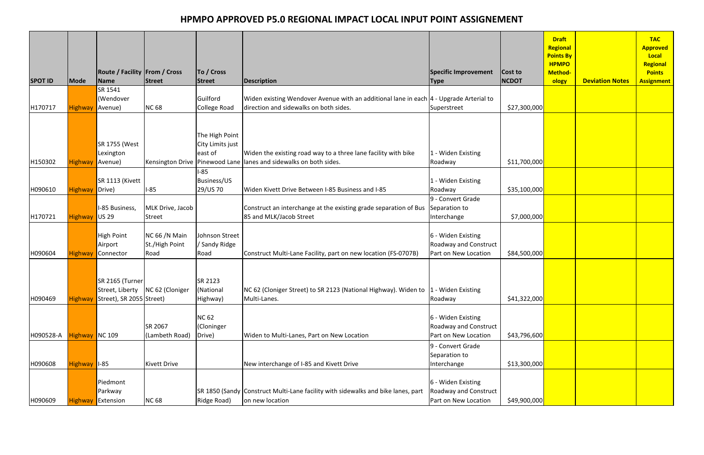| <b>SPOT ID</b> | <b>Mode</b>    | <b>Route / Facility From / Cross</b><br>Name | Street                                  | To / Cross<br>Street                          | <b>Description</b>                                                                                                                      | Specific Improvement<br> Type                                              | Cost to<br><b>NCDOT</b>     | <b>Draft</b><br><b>Regional</b><br><b>Points By</b><br><b>HPMPO</b><br>Method-<br>ology | <b>Deviation Notes</b> | <b>TAC</b><br><b>Approved</b><br>Local<br>Regional<br><b>Points</b><br><b>Assignment</b> |
|----------------|----------------|----------------------------------------------|-----------------------------------------|-----------------------------------------------|-----------------------------------------------------------------------------------------------------------------------------------------|----------------------------------------------------------------------------|-----------------------------|-----------------------------------------------------------------------------------------|------------------------|------------------------------------------------------------------------------------------|
|                |                | SR 1541<br>(Wendover                         |                                         | Guilford                                      | Widen existing Wendover Avenue with an additional lane in each  4 - Upgrade Arterial to                                                 |                                                                            |                             |                                                                                         |                        |                                                                                          |
| H170717        | Highway        | Avenue)                                      | <b>NC 68</b>                            | College Road                                  | direction and sidewalks on both sides.                                                                                                  | Superstreet                                                                | \$27,300,000                |                                                                                         |                        |                                                                                          |
| H150302        | Highway        | <b>SR 1755 (West</b><br>Lexington<br>Avenue) |                                         | The High Point<br>City Limits just<br>east of | Widen the existing road way to a three lane facility with bike<br>Kensington Drive   Pinewood Lane   lanes and sidewalks on both sides. | 1 - Widen Existing<br>Roadway                                              | \$11,700,000                |                                                                                         |                        |                                                                                          |
| H090610        | Highway        | SR 1113 (Kivett<br>Drive)                    | $I-85$                                  | <b>I-85</b><br><b>Business/US</b><br>29/US 70 | Widen Kivett Drive Between I-85 Business and I-85                                                                                       | 1 - Widen Existing<br>Roadway                                              | \$35,100,000                |                                                                                         |                        |                                                                                          |
| H170721        | <b>Highway</b> | I-85 Business,<br>$\bigcup$ US 29            | MLK Drive, Jacob<br><b>Street</b>       |                                               | Construct an interchange at the existing grade separation of Bus<br>85 and MLK/Jacob Street                                             | 9 - Convert Grade<br>Separation to<br>Interchange                          | \$7,000,000                 |                                                                                         |                        |                                                                                          |
| H090604        | Highway        | High Point<br>Airport<br>Connector           | NC 66 /N Main<br>St./High Point<br>Road | Johnson Street<br>/ Sandy Ridge<br>Road       | Construct Multi-Lane Facility, part on new location (FS-0707B)                                                                          | 6 - Widen Existing<br><b>Roadway and Construct</b><br>Part on New Location | \$84,500,000                |                                                                                         |                        |                                                                                          |
| H090469        | <b>Highway</b> | SR 2165 (Turner<br>Street), SR 2055 Street)  | Street, Liberty   NC 62 (Cloniger       | SR 2123<br>(National<br>Highway)              | NC 62 (Cloniger Street) to SR 2123 (National Highway). Widen to  1 - Widen Existing<br>Multi-Lanes.                                     | Roadway                                                                    | \$41,322,000                |                                                                                         |                        |                                                                                          |
| H090528-A      | Highway NC 109 |                                              | SR 2067<br>(Lambeth Road)               | <b>NC 62</b><br>(Cloninger<br>Drive)          | Widen to Multi-Lanes, Part on New Location                                                                                              | 6 - Widen Existing<br><b>Roadway and Construct</b><br>Part on New Location | \$43,796,600                |                                                                                         |                        |                                                                                          |
| H090608        | Highway   1-85 |                                              | <b>Kivett Drive</b>                     |                                               | New interchange of I-85 and Kivett Drive                                                                                                | 9 - Convert Grade<br>Separation to<br>Interchange                          | \$13,300,000                |                                                                                         |                        |                                                                                          |
| H090609        | <b>Highway</b> | Piedmont<br>Parkway<br>Extension             | <b>NC 68</b>                            | Ridge Road)                                   | SR 1850 (Sandy Construct Multi-Lane facility with sidewalks and bike lanes, part<br>on new location                                     | 6 - Widen Existing<br>Roadway and Construct<br>Part on New Location        | \$49,900,000 <mark> </mark> |                                                                                         |                        |                                                                                          |